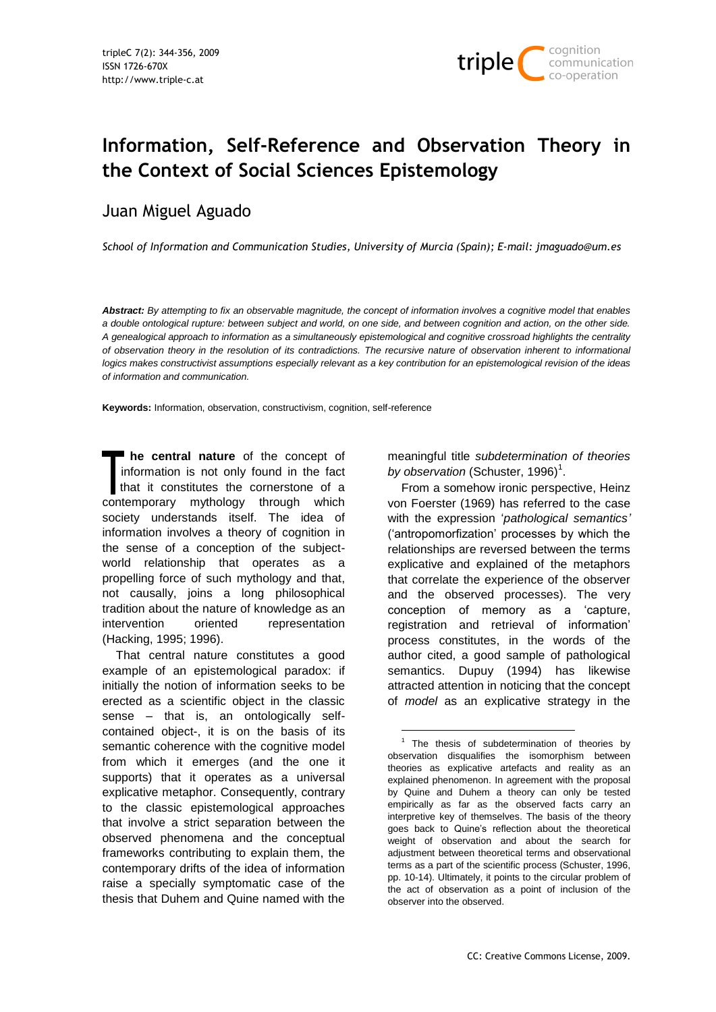

# **Information, Self-Reference and Observation Theory in the Context of Social Sciences Epistemology**

## Juan Miguel Aguado

*School of Information and Communication Studies, University of Murcia (Spain); E-mail: jmaguado@um.es*

*Abstract: By attempting to fix an observable magnitude, the concept of information involves a cognitive model that enables a double ontological rupture: between subject and world, on one side, and between cognition and action, on the other side. A genealogical approach to information as a simultaneously epistemological and cognitive crossroad highlights the centrality of observation theory in the resolution of its contradictions. The recursive nature of observation inherent to informational*  logics makes constructivist assumptions especially relevant as a key contribution for an epistemological revision of the ideas *of information and communication.*

-

**Keywords:** Information, observation, constructivism, cognition, self-reference

**he central nature** of the concept of information is not only found in the fact that it constitutes the cornerstone of a contemporary mythology through which society understands itself. The idea of information involves a theory of cognition in the sense of a conception of the subjectworld relationship that operates as a propelling force of such mythology and that, not causally, joins a long philosophical tradition about the nature of knowledge as an intervention oriented representation (Hacking, 1995; 1996).

That central nature constitutes a good example of an epistemological paradox: if initially the notion of information seeks to be erected as a scientific object in the classic sense – that is, an ontologically selfcontained object-, it is on the basis of its semantic coherence with the cognitive model from which it emerges (and the one it supports) that it operates as a universal explicative metaphor. Consequently, contrary to the classic epistemological approaches that involve a strict separation between the observed phenomena and the conceptual frameworks contributing to explain them, the contemporary drifts of the idea of information raise a specially symptomatic case of the thesis that Duhem and Quine named with the

meaningful title *subdetermination of theories*  by observation (Schuster, 1996)<sup>1</sup>.

From a somehow ironic perspective, Heinz von Foerster (1969) has referred to the case with the expression "*pathological semantics'* ("antropomorfization" processes by which the relationships are reversed between the terms explicative and explained of the metaphors that correlate the experience of the observer and the observed processes). The very conception of memory as a "capture, registration and retrieval of information" process constitutes, in the words of the author cited, a good sample of pathological semantics. Dupuy (1994) has likewise attracted attention in noticing that the concept of *model* as an explicative strategy in the

 $<sup>1</sup>$  The thesis of subdetermination of theories by</sup> observation disqualifies the isomorphism between theories as explicative artefacts and reality as an explained phenomenon. In agreement with the proposal by Quine and Duhem a theory can only be tested empirically as far as the observed facts carry an interpretive key of themselves. The basis of the theory goes back to Quine"s reflection about the theoretical weight of observation and about the search for adjustment between theoretical terms and observational terms as a part of the scientific process (Schuster, 1996, pp. 10-14). Ultimately, it points to the circular problem of the act of observation as a point of inclusion of the observer into the observed.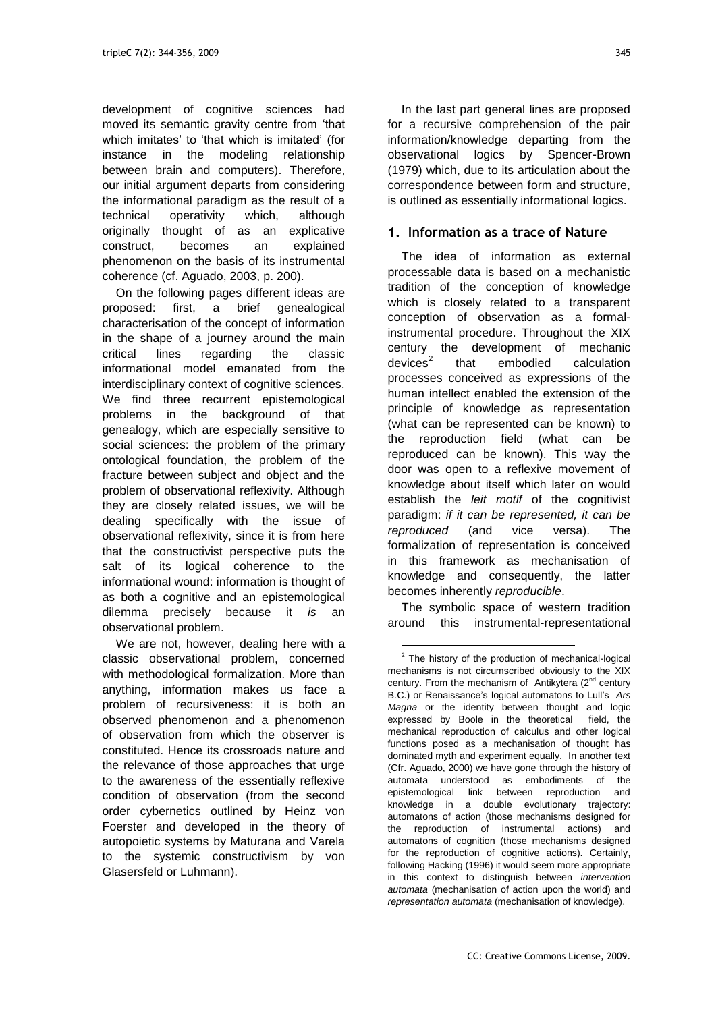development of cognitive sciences had moved its semantic gravity centre from "that which imitates' to 'that which is imitated' (for instance in the modeling relationship between brain and computers). Therefore, our initial argument departs from considering the informational paradigm as the result of a technical operativity which, although originally thought of as an explicative construct, becomes an explained phenomenon on the basis of its instrumental coherence (cf. Aguado, 2003, p. 200).

On the following pages different ideas are proposed: first, a brief genealogical characterisation of the concept of information in the shape of a journey around the main critical lines regarding the classic informational model emanated from the interdisciplinary context of cognitive sciences. We find three recurrent epistemological problems in the background of that genealogy, which are especially sensitive to social sciences: the problem of the primary ontological foundation, the problem of the fracture between subject and object and the problem of observational reflexivity. Although they are closely related issues, we will be dealing specifically with the issue of observational reflexivity, since it is from here that the constructivist perspective puts the salt of its logical coherence to the informational wound: information is thought of as both a cognitive and an epistemological dilemma precisely because it *is* an observational problem.

We are not, however, dealing here with a classic observational problem, concerned with methodological formalization. More than anything, information makes us face a problem of recursiveness: it is both an observed phenomenon and a phenomenon of observation from which the observer is constituted. Hence its crossroads nature and the relevance of those approaches that urge to the awareness of the essentially reflexive condition of observation (from the second order cybernetics outlined by Heinz von Foerster and developed in the theory of autopoietic systems by Maturana and Varela to the systemic constructivism by von Glasersfeld or Luhmann).

In the last part general lines are proposed for a recursive comprehension of the pair information/knowledge departing from the observational logics by Spencer-Brown (1979) which, due to its articulation about the correspondence between form and structure, is outlined as essentially informational logics.

#### **1. Information as a trace of Nature**

The idea of information as external processable data is based on a mechanistic tradition of the conception of knowledge which is closely related to a transparent conception of observation as a formalinstrumental procedure. Throughout the XIX century the development of mechanic  $devices<sup>2</sup>$ that embodied calculation processes conceived as expressions of the human intellect enabled the extension of the principle of knowledge as representation (what can be represented can be known) to the reproduction field (what can be reproduced can be known). This way the door was open to a reflexive movement of knowledge about itself which later on would establish the *leit motif* of the cognitivist paradigm: *if it can be represented, it can be reproduced* (and vice versa). The formalization of representation is conceived in this framework as mechanisation of knowledge and consequently, the latter becomes inherently *reproducible*.

The symbolic space of western tradition around this instrumental-representational

 $2$  The history of the production of mechanical-logical mechanisms is not circumscribed obviously to the XIX century. From the mechanism of Antikytera (2<sup>nd</sup> century B.C.) or Renaissance"s logical automatons to Lull"s *Ars Magna* or the identity between thought and logic expressed by Boole in the theoretical field, the mechanical reproduction of calculus and other logical functions posed as a mechanisation of thought has dominated myth and experiment equally. In another text (Cfr. Aguado, 2000) we have gone through the history of automata understood as embodiments of the epistemological link between reproduction and knowledge in a double evolutionary trajectory: automatons of action (those mechanisms designed for the reproduction of instrumental actions) and automatons of cognition (those mechanisms designed for the reproduction of cognitive actions). Certainly, following Hacking (1996) it would seem more appropriate in this context to distinguish between *intervention automata* (mechanisation of action upon the world) and *representation automata* (mechanisation of knowledge).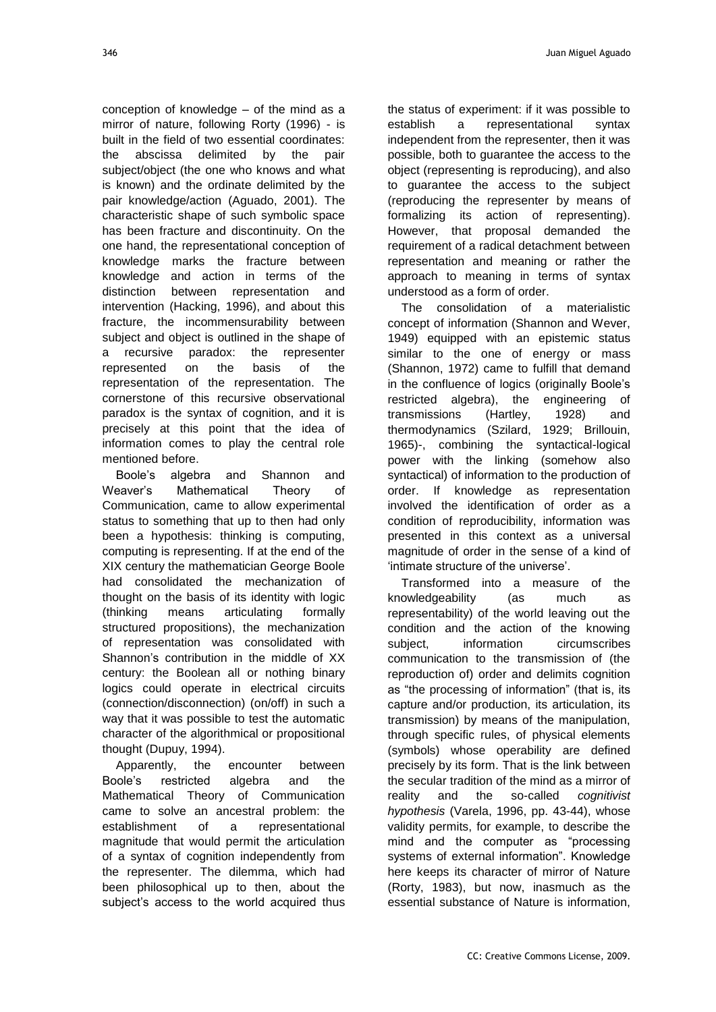conception of knowledge – of the mind as a mirror of nature, following Rorty (1996) - is built in the field of two essential coordinates: the abscissa delimited by the pair subject/object (the one who knows and what is known) and the ordinate delimited by the pair knowledge/action (Aguado, 2001). The characteristic shape of such symbolic space has been fracture and discontinuity. On the one hand, the representational conception of knowledge marks the fracture between knowledge and action in terms of the distinction between representation and intervention (Hacking, 1996), and about this fracture, the incommensurability between subject and object is outlined in the shape of a recursive paradox: the representer represented on the basis of the representation of the representation. The cornerstone of this recursive observational paradox is the syntax of cognition, and it is precisely at this point that the idea of information comes to play the central role mentioned before.

Boole"s algebra and Shannon and Weaver"s Mathematical Theory of Communication, came to allow experimental status to something that up to then had only been a hypothesis: thinking is computing, computing is representing. If at the end of the XIX century the mathematician George Boole had consolidated the mechanization of thought on the basis of its identity with logic (thinking means articulating formally structured propositions), the mechanization of representation was consolidated with Shannon's contribution in the middle of XX century: the Boolean all or nothing binary logics could operate in electrical circuits (connection/disconnection) (on/off) in such a way that it was possible to test the automatic character of the algorithmical or propositional thought (Dupuy, 1994).

Apparently, the encounter between Boole"s restricted algebra and the Mathematical Theory of Communication came to solve an ancestral problem: the establishment of a representational magnitude that would permit the articulation of a syntax of cognition independently from the representer. The dilemma, which had been philosophical up to then, about the subject's access to the world acquired thus

the status of experiment: if it was possible to establish a representational syntax independent from the representer, then it was possible, both to guarantee the access to the object (representing is reproducing), and also to guarantee the access to the subject (reproducing the representer by means of formalizing its action of representing). However, that proposal demanded the requirement of a radical detachment between representation and meaning or rather the approach to meaning in terms of syntax understood as a form of order.

The consolidation of a materialistic concept of information (Shannon and Wever, 1949) equipped with an epistemic status similar to the one of energy or mass (Shannon, 1972) came to fulfill that demand in the confluence of logics (originally Boole"s restricted algebra), the engineering of transmissions (Hartley, 1928) and thermodynamics (Szilard, 1929; Brillouin, 1965)-, combining the syntactical-logical power with the linking (somehow also syntactical) of information to the production of order. If knowledge as representation involved the identification of order as a condition of reproducibility, information was presented in this context as a universal magnitude of order in the sense of a kind of "intimate structure of the universe".

Transformed into a measure of the knowledgeability (as much as representability) of the world leaving out the condition and the action of the knowing subject. information circumscribes communication to the transmission of (the reproduction of) order and delimits cognition as "the processing of information" (that is, its capture and/or production, its articulation, its transmission) by means of the manipulation, through specific rules, of physical elements (symbols) whose operability are defined precisely by its form. That is the link between the secular tradition of the mind as a mirror of reality and the so-called *cognitivist hypothesis* (Varela, 1996, pp. 43-44), whose validity permits, for example, to describe the mind and the computer as "processing systems of external information". Knowledge here keeps its character of mirror of Nature (Rorty, 1983), but now, inasmuch as the essential substance of Nature is information,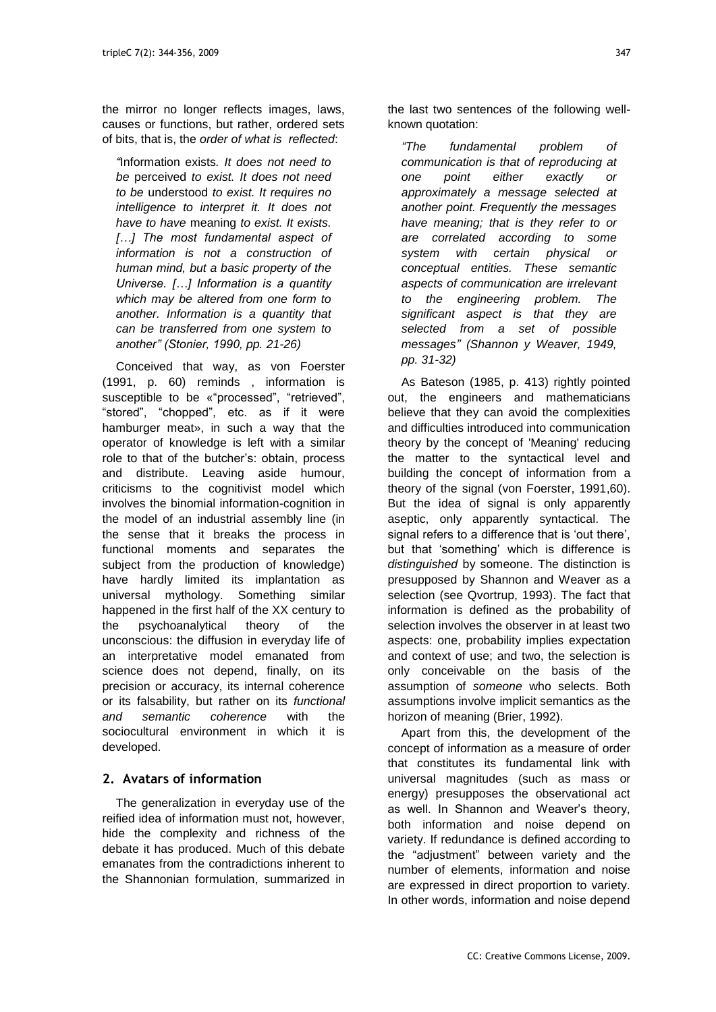the mirror no longer reflects images, laws, causes or functions, but rather, ordered sets of bits, that is, the *order of what is reflected*:

*"*Information exists*. It does not need to be* perceived *to exist. It does not need to be* understood *to exist. It requires no intelligence to interpret it. It does not have to have* meaning *to exist. It exists. […] The most fundamental aspect of information is not a construction of human mind, but a basic property of the Universe. […] Information is a quantity which may be altered from one form to another. Information is a quantity that can be transferred from one system to another" (Stonier, 1990, pp. 21-26)*

Conceived that way, as von Foerster (1991, p. 60) reminds , information is susceptible to be «"processed", "retrieved", "stored", "chopped", etc. as if it were hamburger meat», in such a way that the operator of knowledge is left with a similar role to that of the butcher"s: obtain, process and distribute. Leaving aside humour, criticisms to the cognitivist model which involves the binomial information-cognition in the model of an industrial assembly line (in the sense that it breaks the process in functional moments and separates the subject from the production of knowledge) have hardly limited its implantation as universal mythology. Something similar happened in the first half of the XX century to the psychoanalytical theory of the unconscious: the diffusion in everyday life of an interpretative model emanated from science does not depend, finally, on its precision or accuracy, its internal coherence or its falsability, but rather on its *functional and semantic coherence* with the sociocultural environment in which it is developed.

## **2. Avatars of information**

The generalization in everyday use of the reified idea of information must not, however, hide the complexity and richness of the debate it has produced. Much of this debate emanates from the contradictions inherent to the Shannonian formulation, summarized in

the last two sentences of the following wellknown quotation:

*"The fundamental problem of communication is that of reproducing at one point either exactly or approximately a message selected at another point. Frequently the messages have meaning; that is they refer to or are correlated according to some system with certain physical or conceptual entities. These semantic aspects of communication are irrelevant to the engineering problem. The significant aspect is that they are selected from a set of possible messages" (Shannon y Weaver, 1949, pp. 31-32)*

As Bateson (1985, p. 413) rightly pointed out, the engineers and mathematicians believe that they can avoid the complexities and difficulties introduced into communication theory by the concept of 'Meaning' reducing the matter to the syntactical level and building the concept of information from a theory of the signal (von Foerster, 1991,60). But the idea of signal is only apparently aseptic, only apparently syntactical. The signal refers to a difference that is 'out there'. but that "something" which is difference is *distinguished* by someone. The distinction is presupposed by Shannon and Weaver as a selection (see Qvortrup, 1993). The fact that information is defined as the probability of selection involves the observer in at least two aspects: one, probability implies expectation and context of use; and two, the selection is only conceivable on the basis of the assumption of *someone* who selects. Both assumptions involve implicit semantics as the horizon of meaning (Brier, 1992).

Apart from this, the development of the concept of information as a measure of order that constitutes its fundamental link with universal magnitudes (such as mass or energy) presupposes the observational act as well. In Shannon and Weaver"s theory, both information and noise depend on variety. If redundance is defined according to the "adjustment" between variety and the number of elements, information and noise are expressed in direct proportion to variety. In other words, information and noise depend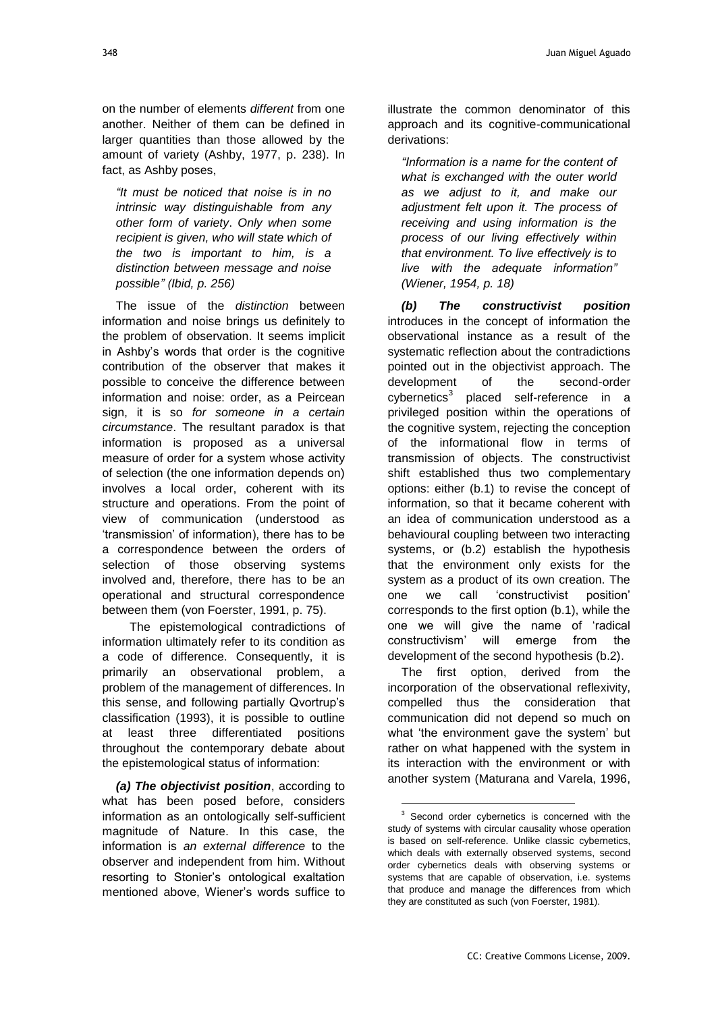on the number of elements *different* from one another. Neither of them can be defined in larger quantities than those allowed by the amount of variety (Ashby, 1977, p. 238). In fact, as Ashby poses,

*"It must be noticed that noise is in no intrinsic way distinguishable from any other form of variety*. *Only when some recipient is given, who will state which of the two is important to him, is a distinction between message and noise possible" (Ibid, p. 256)*

The issue of the *distinction* between information and noise brings us definitely to the problem of observation. It seems implicit in Ashby"s words that order is the cognitive contribution of the observer that makes it possible to conceive the difference between information and noise: order, as a Peircean sign, it is so *for someone in a certain circumstance*. The resultant paradox is that information is proposed as a universal measure of order for a system whose activity of selection (the one information depends on) involves a local order, coherent with its structure and operations. From the point of view of communication (understood as "transmission" of information), there has to be a correspondence between the orders of selection of those observing systems involved and, therefore, there has to be an operational and structural correspondence between them (von Foerster, 1991, p. 75).

The epistemological contradictions of information ultimately refer to its condition as a code of difference. Consequently, it is primarily an observational problem, a problem of the management of differences. In this sense, and following partially Qvortrup"s classification (1993), it is possible to outline at least three differentiated positions throughout the contemporary debate about the epistemological status of information:

*(a) The objectivist position*, according to what has been posed before, considers information as an ontologically self-sufficient magnitude of Nature. In this case, the information is *an external difference* to the observer and independent from him. Without resorting to Stonier"s ontological exaltation mentioned above, Wiener"s words suffice to

illustrate the common denominator of this approach and its cognitive-communicational derivations:

*"Information is a name for the content of what is exchanged with the outer world as we adjust to it, and make our adjustment felt upon it. The process of receiving and using information is the process of our living effectively within that environment. To live effectively is to live with the adequate information" (Wiener, 1954, p. 18)*

*(b) The constructivist position* introduces in the concept of information the observational instance as a result of the systematic reflection about the contradictions pointed out in the objectivist approach. The development of the second-order cybernetics<sup>3</sup> placed self-reference in a privileged position within the operations of the cognitive system, rejecting the conception of the informational flow in terms of transmission of objects. The constructivist shift established thus two complementary options: either (b.1) to revise the concept of information, so that it became coherent with an idea of communication understood as a behavioural coupling between two interacting systems, or (b.2) establish the hypothesis that the environment only exists for the system as a product of its own creation. The one we call "constructivist position" corresponds to the first option (b.1), while the one we will give the name of "radical constructivism" will emerge from the development of the second hypothesis (b.2).

The first option, derived from the incorporation of the observational reflexivity, compelled thus the consideration that communication did not depend so much on what 'the environment gave the system' but rather on what happened with the system in its interaction with the environment or with another system (Maturana and Varela, 1996,

<sup>&</sup>lt;sup>3</sup> Second order cybernetics is concerned with the study of systems with circular causality whose operation is based on self-reference. Unlike classic cybernetics, which deals with externally observed systems, second order cybernetics deals with observing systems or systems that are capable of observation, i.e. systems that produce and manage the differences from which they are constituted as such (von Foerster, 1981).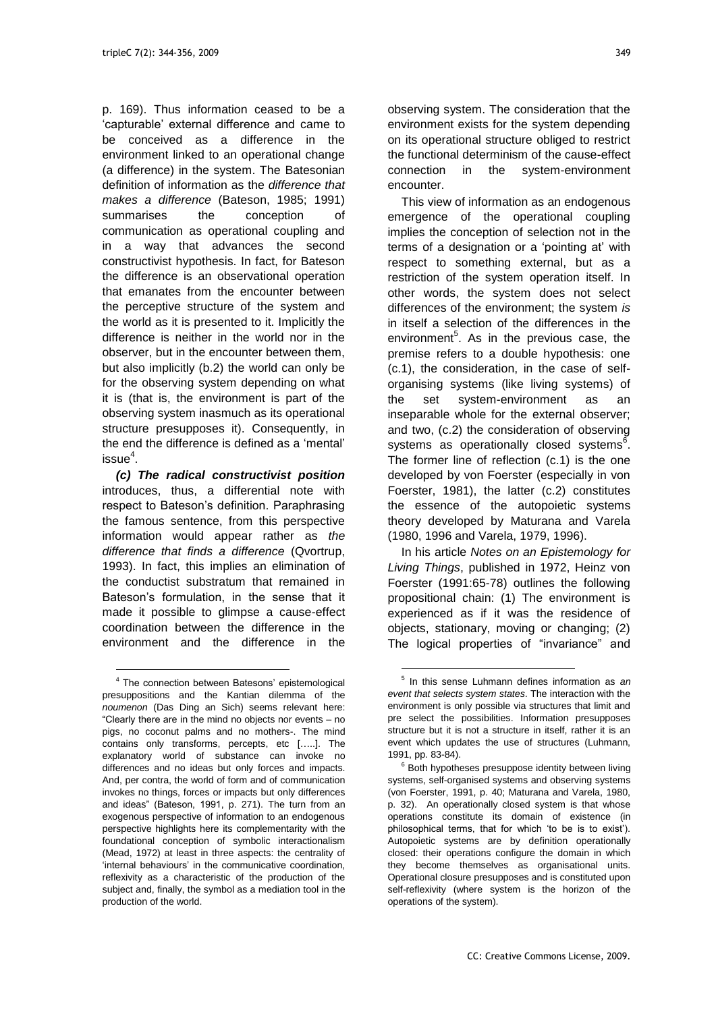p. 169). Thus information ceased to be a "capturable" external difference and came to be conceived as a difference in the environment linked to an operational change (a difference) in the system. The Batesonian definition of information as the *difference that makes a difference* (Bateson, 1985; 1991) summarises the conception of communication as operational coupling and in a way that advances the second constructivist hypothesis. In fact, for Bateson the difference is an observational operation that emanates from the encounter between the perceptive structure of the system and the world as it is presented to it. Implicitly the difference is neither in the world nor in the observer, but in the encounter between them, but also implicitly (b.2) the world can only be for the observing system depending on what it is (that is, the environment is part of the observing system inasmuch as its operational structure presupposes it). Consequently, in the end the difference is defined as a "mental"  $is sue<sup>4</sup>$ .

*(c) The radical constructivist position* introduces, thus, a differential note with respect to Bateson"s definition. Paraphrasing the famous sentence, from this perspective information would appear rather as *the difference that finds a difference* (Qvortrup, 1993). In fact, this implies an elimination of the conductist substratum that remained in Bateson"s formulation, in the sense that it made it possible to glimpse a cause-effect coordination between the difference in the environment and the difference in the

l

observing system. The consideration that the environment exists for the system depending on its operational structure obliged to restrict the functional determinism of the cause-effect connection in the system-environment encounter.

This view of information as an endogenous emergence of the operational coupling implies the conception of selection not in the terms of a designation or a 'pointing at' with respect to something external, but as a restriction of the system operation itself. In other words, the system does not select differences of the environment; the system *is*  in itself a selection of the differences in the environment<sup>5</sup>. As in the previous case, the premise refers to a double hypothesis: one (c.1), the consideration, in the case of selforganising systems (like living systems) of the set system-environment as an inseparable whole for the external observer; and two, (c.2) the consideration of observing systems as operationally closed systems<sup>6</sup>. The former line of reflection (c.1) is the one developed by von Foerster (especially in von Foerster, 1981), the latter (c.2) constitutes the essence of the autopoietic systems theory developed by Maturana and Varela (1980, 1996 and Varela, 1979, 1996).

In his article *Notes on an Epistemology for Living Things*, published in 1972, Heinz von Foerster (1991:65-78) outlines the following propositional chain: (1) The environment is experienced as if it was the residence of objects, stationary, moving or changing; (2) The logical properties of "invariance" and

<sup>&</sup>lt;sup>4</sup> The connection between Batesons' epistemological presuppositions and the Kantian dilemma of the *noumenon* (Das Ding an Sich) seems relevant here: "Clearly there are in the mind no objects nor events – no pigs, no coconut palms and no mothers-. The mind contains only transforms, percepts, etc […..]. The explanatory world of substance can invoke no differences and no ideas but only forces and impacts. And, per contra, the world of form and of communication invokes no things, forces or impacts but only differences and ideas" (Bateson, 1991, p. 271). The turn from an exogenous perspective of information to an endogenous perspective highlights here its complementarity with the foundational conception of symbolic interactionalism (Mead, 1972) at least in three aspects: the centrality of "internal behaviours" in the communicative coordination, reflexivity as a characteristic of the production of the subject and, finally, the symbol as a mediation tool in the production of the world.

<sup>5</sup> In this sense Luhmann defines information as *an event that selects system states*. The interaction with the environment is only possible via structures that limit and pre select the possibilities. Information presupposes structure but it is not a structure in itself, rather it is an event which updates the use of structures (Luhmann, 1991, pp. 83-84).

<sup>&</sup>lt;sup>6</sup> Both hypotheses presuppose identity between living systems, self-organised systems and observing systems (von Foerster, 1991, p. 40; Maturana and Varela, 1980, p. 32). An operationally closed system is that whose operations constitute its domain of existence (in philosophical terms, that for which "to be is to exist"). Autopoietic systems are by definition operationally closed: their operations configure the domain in which they become themselves as organisational units. Operational closure presupposes and is constituted upon self-reflexivity (where system is the horizon of the operations of the system).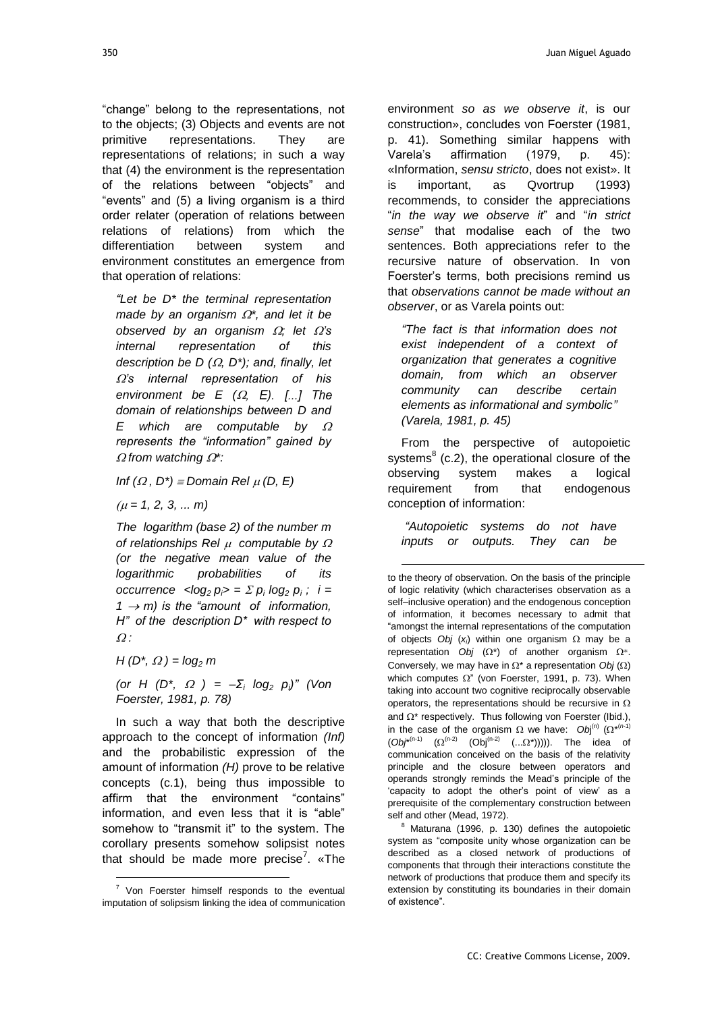"change" belong to the representations, not to the objects; (3) Objects and events are not primitive representations. They are representations of relations; in such a way that (4) the environment is the representation of the relations between "objects" and "events" and (5) a living organism is a third

order relater (operation of relations between relations of relations) from which the differentiation between system and environment constitutes an emergence from that operation of relations:

*"Let be D\* the terminal representation made by an organism \*, and let it be observed by an organism*  $\Omega$ *; let*  $\Omega$ *'s internal representation of this description be D (* $\Omega$ *, D<sup>\*</sup>); and, finally, let*  $Ω's$  *internal representation of his environment be*  $E$   $(\Omega, E)$ . [...] The *domain of relationships between D and E which are computable by represents the "information" gained by from watching \*:*

*Inf*  $(\Omega, D^*)$   $\equiv$  *Domain Rel*  $\mu$  *(D, E)* 

 $(\mu = 1, 2, 3, \dots m)$ 

*The logarithm (base 2) of the number m of relationships Rel computable by (or the negative mean value of the logarithmic probabilities of its occurrence*  $\langle \log_2 p_i \rangle = \sum p_i \log_2 p_i$ ;  $i =$  $1 \rightarrow m$ ) is the "amount of information, *H" of the description D\* with respect to :*

*H* ( $D^*$ ,  $\Omega$ ) =  $log_2 m$ 

l

*(or H (D<sup>\*</sup>,*  $\Omega$ *)* =  $-\Sigma$ *<sub>i</sub> log<sub>2</sub>*  $p$ <sub>*i</sub>*)" *(Von*</sub> *Foerster, 1981, p. 78)*

In such a way that both the descriptive approach to the concept of information *(Inf)* and the probabilistic expression of the amount of information *(H)* prove to be relative concepts (c.1), being thus impossible to affirm that the environment "contains" information, and even less that it is "able" somehow to "transmit it" to the system. The corollary presents somehow solipsist notes that should be made more precise<sup>7</sup>. «The environment *so as we observe it*, is our construction», concludes von Foerster (1981, p. 41). Something similar happens with Varela"s affirmation (1979, p. 45): «Information, *sensu stricto*, does not exist». It is important, as Qvortrup (1993) recommends, to consider the appreciations "*in the way we observe it*" and "*in strict sense*" that modalise each of the two sentences. Both appreciations refer to the recursive nature of observation. In von Foerster"s terms, both precisions remind us that *observations cannot be made without an observer*, or as Varela points out:

*"The fact is that information does not exist independent of a context of organization that generates a cognitive domain, from which an observer community can describe certain elements as informational and symbolic" (Varela, 1981, p. 45)*

From the perspective of autopoietic systems<sup>8</sup> (c.2), the operational closure of the observing system makes a logical requirement from that endogenous conception of information:

*"Autopoietic systems do not have inputs or outputs. They can be* 

1

to the theory of observation. On the basis of the principle of logic relativity (which characterises observation as a self–inclusive operation) and the endogenous conception of information, it becomes necessary to admit that "amongst the internal representations of the computation of objects *Obj*  $(x_i)$  within one organism  $\Omega$  may be a representation *Obj*  $(\Omega^*)$  of another organism  $\Omega^*$ . Conversely, we may have in  $\Omega^*$  a representation *Obi* ( $\Omega$ ) which computes  $\Omega$ " (von Foerster, 1991, p. 73). When taking into account two cognitive reciprocally observable operators, the representations should be recursive in  $\Omega$ and  $\Omega^*$  respectively. Thus following von Foerster (Ibid.), in the case of the organism  $\Omega$  we have:  $Obj^{(n)}$  ( $\Omega^{*(n-1)}$ )  $(Ob^{*(n-1)} (Q^{(n-2)} (Obj^{(n-2)} (...Q^*))))$ . The idea of communication conceived on the basis of the relativity principle and the closure between operators and operands strongly reminds the Mead"s principle of the 'capacity to adopt the other's point of view' as a prerequisite of the complementary construction between self and other (Mead, 1972).

 $8$  Maturana (1996, p. 130) defines the autopoietic system as "composite unity whose organization can be described as a closed network of productions of components that through their interactions constitute the network of productions that produce them and specify its extension by constituting its boundaries in their domain of existence".

<sup>&</sup>lt;sup>7</sup> Von Foerster himself responds to the eventual imputation of solipsism linking the idea of communication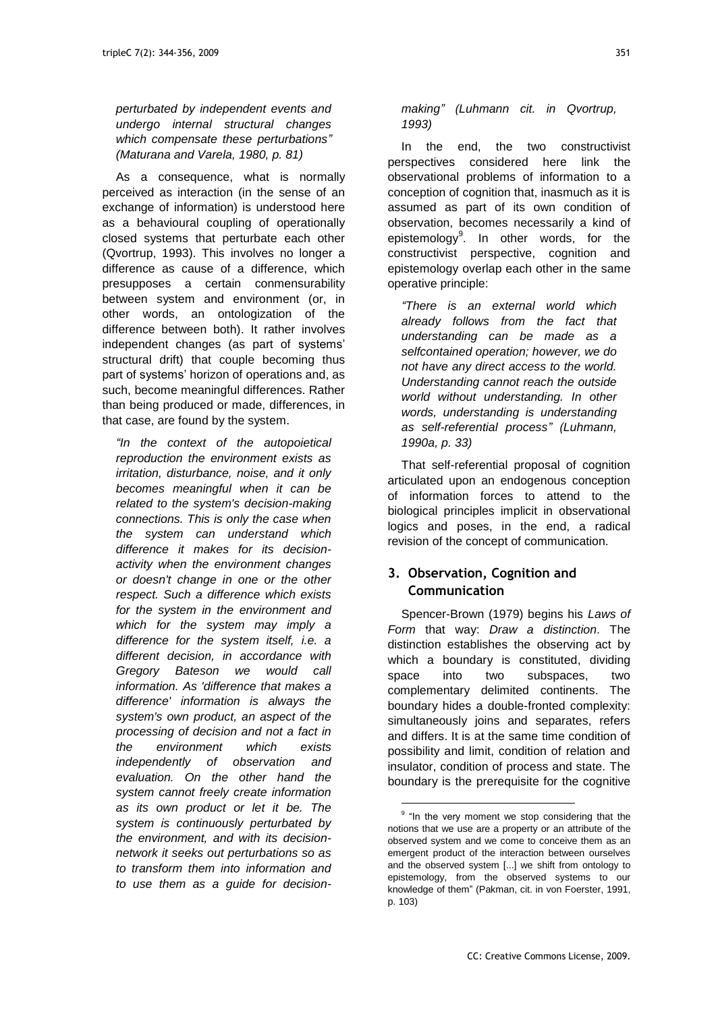*perturbated by independent events and undergo internal structural changes which compensate these perturbations" (Maturana and Varela, 1980, p. 81)*

As a consequence, what is normally perceived as interaction (in the sense of an exchange of information) is understood here as a behavioural coupling of operationally closed systems that perturbate each other (Qvortrup, 1993). This involves no longer a difference as cause of a difference, which presupposes a certain conmensurability between system and environment (or, in other words, an ontologization of the difference between both). It rather involves independent changes (as part of systems' structural drift) that couple becoming thus part of systems' horizon of operations and, as such, become meaningful differences. Rather than being produced or made, differences, in that case, are found by the system.

*"In the context of the autopoietical reproduction the environment exists as irritation, disturbance, noise, and it only becomes meaningful when it can be related to the system's decision-making connections. This is only the case when the system can understand which difference it makes for its decisionactivity when the environment changes or doesn't change in one or the other respect. Such a difference which exists for the system in the environment and which for the system may imply a difference for the system itself, i.e. a different decision, in accordance with Gregory Bateson we would call information. As 'difference that makes a difference' information is always the system's own product, an aspect of the processing of decision and not a fact in the environment which exists independently of observation and evaluation. On the other hand the system cannot freely create information as its own product or let it be. The system is continuously perturbated by the environment, and with its decisionnetwork it seeks out perturbations so as to transform them into information and to use them as a guide for decision-* *making" (Luhmann cit. in Qvortrup, 1993)*

In the end, the two constructivist perspectives considered here link the observational problems of information to a conception of cognition that, inasmuch as it is assumed as part of its own condition of observation, becomes necessarily a kind of epistemology<sup>9</sup>. In other words, for the constructivist perspective, cognition and epistemology overlap each other in the same operative principle:

*"There is an external world which already follows from the fact that understanding can be made as a selfcontained operation; however, we do not have any direct access to the world. Understanding cannot reach the outside world without understanding. In other words, understanding is understanding as self-referential process" (Luhmann, 1990a, p. 33)*

That self-referential proposal of cognition articulated upon an endogenous conception of information forces to attend to the biological principles implicit in observational logics and poses, in the end, a radical revision of the concept of communication.

## **3. Observation, Cognition and Communication**

Spencer-Brown (1979) begins his *Laws of Form* that way: *Draw a distinction*. The distinction establishes the observing act by which a boundary is constituted, dividing space into two subspaces, two complementary delimited continents. The boundary hides a double-fronted complexity: simultaneously joins and separates, refers and differs. It is at the same time condition of possibility and limit, condition of relation and insulator, condition of process and state. The boundary is the prerequisite for the cognitive

<sup>&</sup>lt;sup>9</sup> "In the very moment we stop considering that the notions that we use are a property or an attribute of the observed system and we come to conceive them as an emergent product of the interaction between ourselves and the observed system [...] we shift from ontology to epistemology, from the observed systems to our knowledge of them" (Pakman, cit. in von Foerster, 1991, p. 103)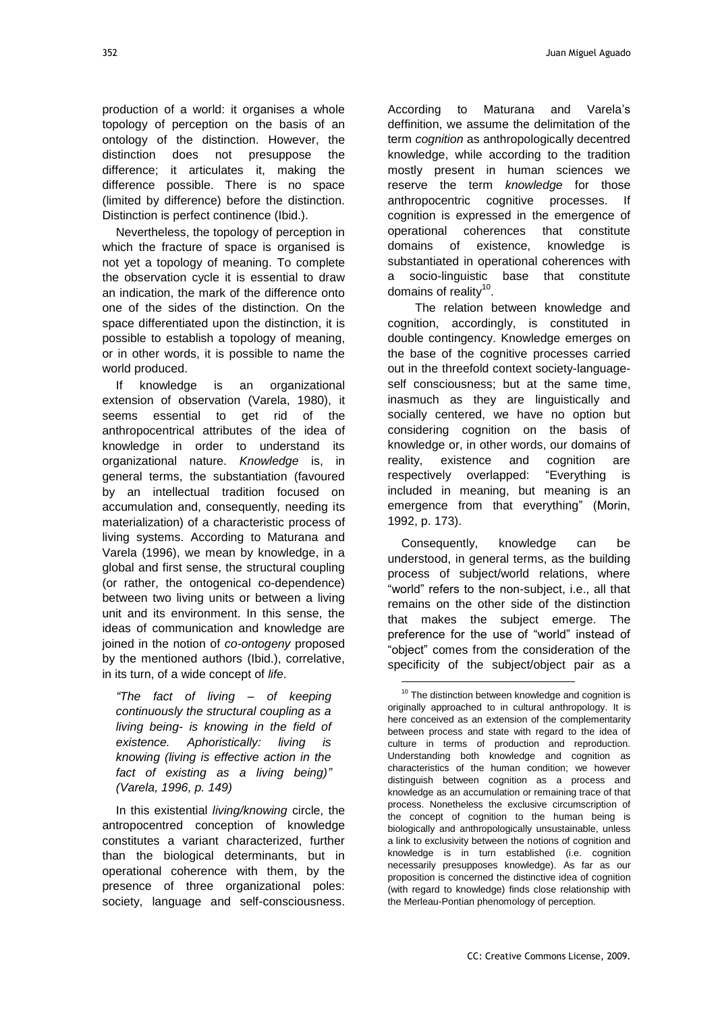production of a world: it organises a whole topology of perception on the basis of an ontology of the distinction. However, the distinction does not presuppose the difference; it articulates it, making the difference possible. There is no space (limited by difference) before the distinction. Distinction is perfect continence (Ibid.).

Nevertheless, the topology of perception in which the fracture of space is organised is not yet a topology of meaning. To complete the observation cycle it is essential to draw an indication, the mark of the difference onto one of the sides of the distinction. On the space differentiated upon the distinction, it is possible to establish a topology of meaning, or in other words, it is possible to name the world produced.

If knowledge is an organizational extension of observation (Varela, 1980), it seems essential to get rid of the anthropocentrical attributes of the idea of knowledge in order to understand its organizational nature. *Knowledge* is, in general terms, the substantiation (favoured by an intellectual tradition focused on accumulation and, consequently, needing its materialization) of a characteristic process of living systems. According to Maturana and Varela (1996), we mean by knowledge, in a global and first sense, the structural coupling (or rather, the ontogenical co-dependence) between two living units or between a living unit and its environment. In this sense, the ideas of communication and knowledge are joined in the notion of *co-ontogeny* proposed by the mentioned authors (Ibid.), correlative, in its turn, of a wide concept of *life*.

*"The fact of living – of keeping continuously the structural coupling as a living being- is knowing in the field of existence. Aphoristically: living is knowing (living is effective action in the fact of existing as a living being)" (Varela, 1996, p. 149)*

In this existential *living/knowing* circle, the antropocentred conception of knowledge constitutes a variant characterized, further than the biological determinants, but in operational coherence with them, by the presence of three organizational poles: society, language and self-consciousness. According to Maturana and Varela"s deffinition, we assume the delimitation of the term *cognition* as anthropologically decentred knowledge, while according to the tradition mostly present in human sciences we reserve the term *knowledge* for those anthropocentric cognitive processes. If cognition is expressed in the emergence of operational coherences that constitute domains of existence, knowledge is substantiated in operational coherences with a socio-linguistic base that constitute domains of reality<sup>10</sup>.

The relation between knowledge and cognition, accordingly, is constituted in double contingency. Knowledge emerges on the base of the cognitive processes carried out in the threefold context society-languageself consciousness; but at the same time, inasmuch as they are linguistically and socially centered, we have no option but considering cognition on the basis of knowledge or, in other words, our domains of reality, existence and cognition are respectively overlapped: "Everything is included in meaning, but meaning is an emergence from that everything" (Morin, 1992, p. 173).

Consequently, knowledge can be understood, in general terms, as the building process of subject/world relations, where "world" refers to the non-subject, i.e., all that remains on the other side of the distinction that makes the subject emerge. The preference for the use of "world" instead of "object" comes from the consideration of the specificity of the subject/object pair as a

<sup>&</sup>lt;sup>10</sup> The distinction between knowledge and cognition is originally approached to in cultural anthropology. It is here conceived as an extension of the complementarity between process and state with regard to the idea of culture in terms of production and reproduction. Understanding both knowledge and cognition as characteristics of the human condition; we however distinguish between cognition as a process and knowledge as an accumulation or remaining trace of that process. Nonetheless the exclusive circumscription of the concept of cognition to the human being is biologically and anthropologically unsustainable, unless a link to exclusivity between the notions of cognition and knowledge is in turn established (i.e. cognition necessarily presupposes knowledge). As far as our proposition is concerned the distinctive idea of cognition (with regard to knowledge) finds close relationship with the Merleau-Pontian phenomology of perception.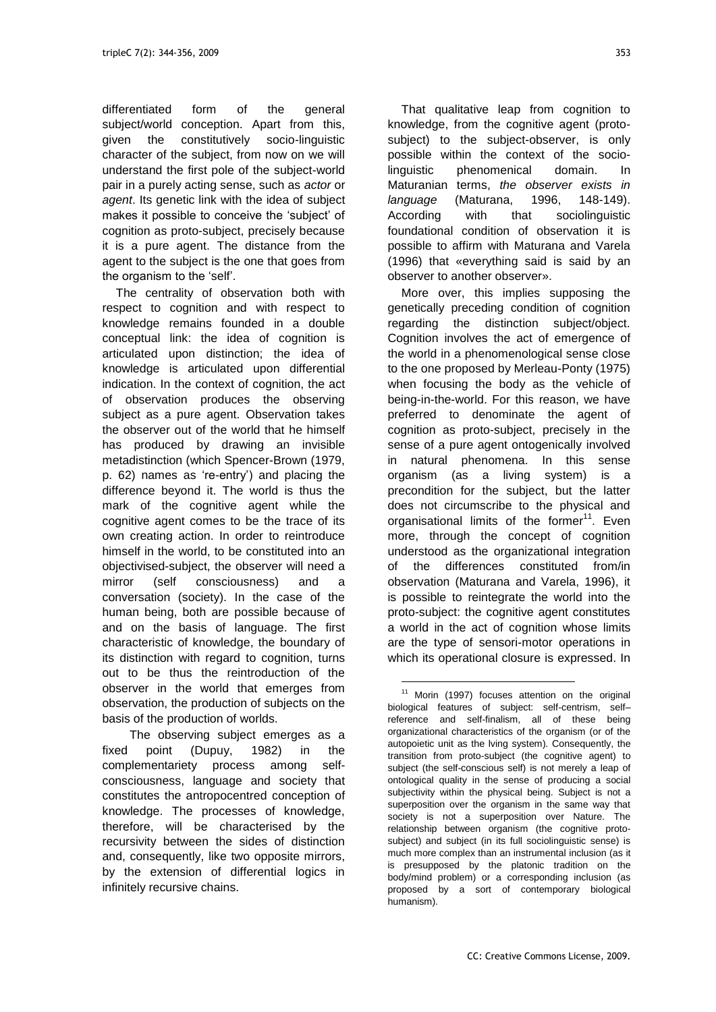differentiated form of the general subject/world conception. Apart from this, given the constitutively socio-linguistic character of the subject, from now on we will understand the first pole of the subject-world pair in a purely acting sense, such as *actor* or *agent*. Its genetic link with the idea of subject makes it possible to conceive the "subject" of cognition as proto-subject, precisely because it is a pure agent. The distance from the agent to the subject is the one that goes from the organism to the 'self'.

The centrality of observation both with respect to cognition and with respect to knowledge remains founded in a double conceptual link: the idea of cognition is articulated upon distinction; the idea of knowledge is articulated upon differential indication. In the context of cognition, the act of observation produces the observing subject as a pure agent. Observation takes the observer out of the world that he himself has produced by drawing an invisible metadistinction (which Spencer-Brown (1979, p. 62) names as "re-entry") and placing the difference beyond it. The world is thus the mark of the cognitive agent while the cognitive agent comes to be the trace of its own creating action. In order to reintroduce himself in the world, to be constituted into an objectivised-subject, the observer will need a mirror (self consciousness) and a conversation (society). In the case of the human being, both are possible because of and on the basis of language. The first characteristic of knowledge, the boundary of its distinction with regard to cognition, turns out to be thus the reintroduction of the observer in the world that emerges from observation, the production of subjects on the basis of the production of worlds.

The observing subject emerges as a fixed point (Dupuy, 1982) in the complementariety process among selfconsciousness, language and society that constitutes the antropocentred conception of knowledge. The processes of knowledge, therefore, will be characterised by the recursivity between the sides of distinction and, consequently, like two opposite mirrors, by the extension of differential logics in infinitely recursive chains.

That qualitative leap from cognition to knowledge, from the cognitive agent (protosubject) to the subject-observer, is only possible within the context of the sociolinguistic phenomenical domain. In Maturanian terms, *the observer exists in language* (Maturana, 1996, 148-149). According with that sociolinguistic foundational condition of observation it is possible to affirm with Maturana and Varela (1996) that «everything said is said by an observer to another observer».

More over, this implies supposing the genetically preceding condition of cognition regarding the distinction subject/object. Cognition involves the act of emergence of the world in a phenomenological sense close to the one proposed by Merleau-Ponty (1975) when focusing the body as the vehicle of being-in-the-world. For this reason, we have preferred to denominate the agent of cognition as proto-subject, precisely in the sense of a pure agent ontogenically involved in natural phenomena. In this sense organism (as a living system) is a precondition for the subject, but the latter does not circumscribe to the physical and organisational limits of the former<sup>11</sup>. Even more, through the concept of cognition understood as the organizational integration of the differences constituted from/in observation (Maturana and Varela, 1996), it is possible to reintegrate the world into the proto-subject: the cognitive agent constitutes a world in the act of cognition whose limits are the type of sensori-motor operations in which its operational closure is expressed. In

 $11$  Morin (1997) focuses attention on the original biological features of subject: self-centrism, self– reference and self-finalism, all of these being organizational characteristics of the organism (or of the autopoietic unit as the lving system). Consequently, the transition from proto-subject (the cognitive agent) to subject (the self-conscious self) is not merely a leap of ontological quality in the sense of producing a social subjectivity within the physical being. Subject is not a superposition over the organism in the same way that society is not a superposition over Nature. The relationship between organism (the cognitive protosubject) and subject (in its full sociolinguistic sense) is much more complex than an instrumental inclusion (as it is presupposed by the platonic tradition on the body/mind problem) or a corresponding inclusion (as proposed by a sort of contemporary biological humanism).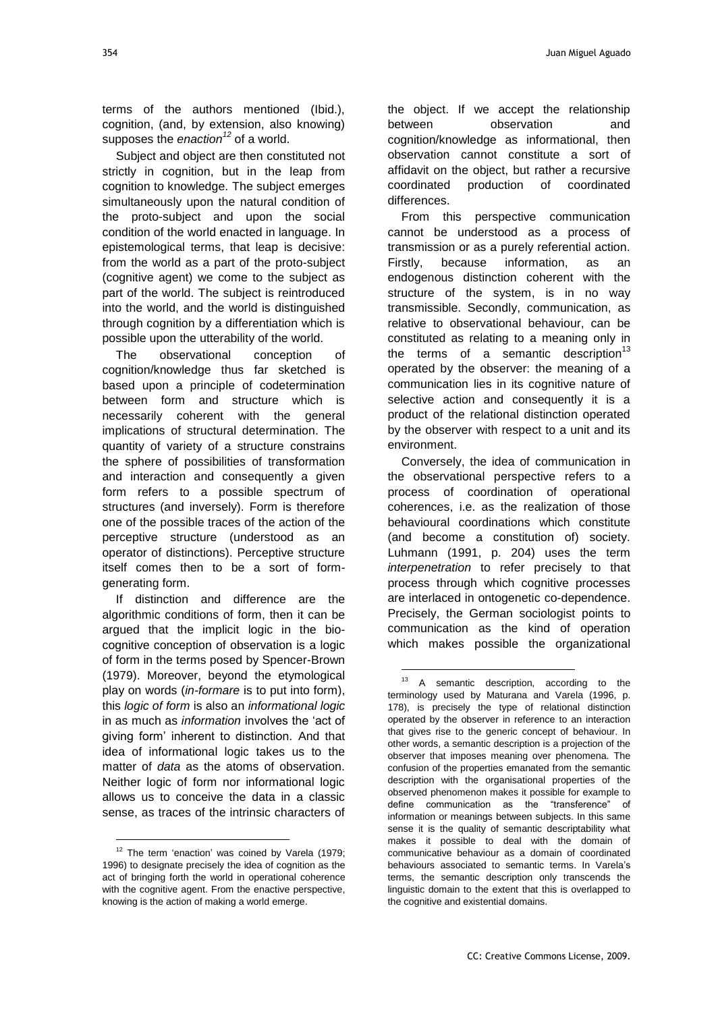terms of the authors mentioned (Ibid.), cognition, (and, by extension, also knowing) supposes the *enaction<sup>12</sup>* of a world.

Subject and object are then constituted not strictly in cognition, but in the leap from cognition to knowledge. The subject emerges simultaneously upon the natural condition of the proto-subject and upon the social condition of the world enacted in language. In epistemological terms, that leap is decisive: from the world as a part of the proto-subject (cognitive agent) we come to the subject as part of the world. The subject is reintroduced into the world, and the world is distinguished through cognition by a differentiation which is possible upon the utterability of the world.

The observational conception of cognition/knowledge thus far sketched is based upon a principle of codetermination between form and structure which is necessarily coherent with the general implications of structural determination. The quantity of variety of a structure constrains the sphere of possibilities of transformation and interaction and consequently a given form refers to a possible spectrum of structures (and inversely). Form is therefore one of the possible traces of the action of the perceptive structure (understood as an operator of distinctions). Perceptive structure itself comes then to be a sort of formgenerating form.

If distinction and difference are the algorithmic conditions of form, then it can be argued that the implicit logic in the biocognitive conception of observation is a logic of form in the terms posed by Spencer-Brown (1979). Moreover, beyond the etymological play on words (*in-formare* is to put into form), this *logic of form* is also an *informational logic* in as much as *information* involves the "act of giving form" inherent to distinction. And that idea of informational logic takes us to the matter of *data* as the atoms of observation. Neither logic of form nor informational logic allows us to conceive the data in a classic sense, as traces of the intrinsic characters of

l

the object. If we accept the relationship between observation and cognition/knowledge as informational, then observation cannot constitute a sort of affidavit on the object, but rather a recursive coordinated production of coordinated differences.

From this perspective communication cannot be understood as a process of transmission or as a purely referential action. Firstly, because information, as an endogenous distinction coherent with the structure of the system, is in no way transmissible. Secondly, communication, as relative to observational behaviour, can be constituted as relating to a meaning only in the terms of a semantic description $13$ operated by the observer: the meaning of a communication lies in its cognitive nature of selective action and consequently it is a product of the relational distinction operated by the observer with respect to a unit and its environment.

Conversely, the idea of communication in the observational perspective refers to a process of coordination of operational coherences, i.e. as the realization of those behavioural coordinations which constitute (and become a constitution of) society. Luhmann (1991, p. 204) uses the term *interpenetration* to refer precisely to that process through which cognitive processes are interlaced in ontogenetic co-dependence. Precisely, the German sociologist points to communication as the kind of operation which makes possible the organizational

<sup>&</sup>lt;sup>12</sup> The term 'enaction' was coined by Varela (1979; 1996) to designate precisely the idea of cognition as the act of bringing forth the world in operational coherence with the cognitive agent. From the enactive perspective, knowing is the action of making a world emerge.

<sup>&</sup>lt;sup>13</sup> A semantic description, according to the terminology used by Maturana and Varela (1996, p. 178), is precisely the type of relational distinction operated by the observer in reference to an interaction that gives rise to the generic concept of behaviour. In other words, a semantic description is a projection of the observer that imposes meaning over phenomena. The confusion of the properties emanated from the semantic description with the organisational properties of the observed phenomenon makes it possible for example to define communication as the "transference" of information or meanings between subjects. In this same sense it is the quality of semantic descriptability what makes it possible to deal with the domain of communicative behaviour as a domain of coordinated behaviours associated to semantic terms. In Varela"s terms, the semantic description only transcends the linguistic domain to the extent that this is overlapped to the cognitive and existential domains.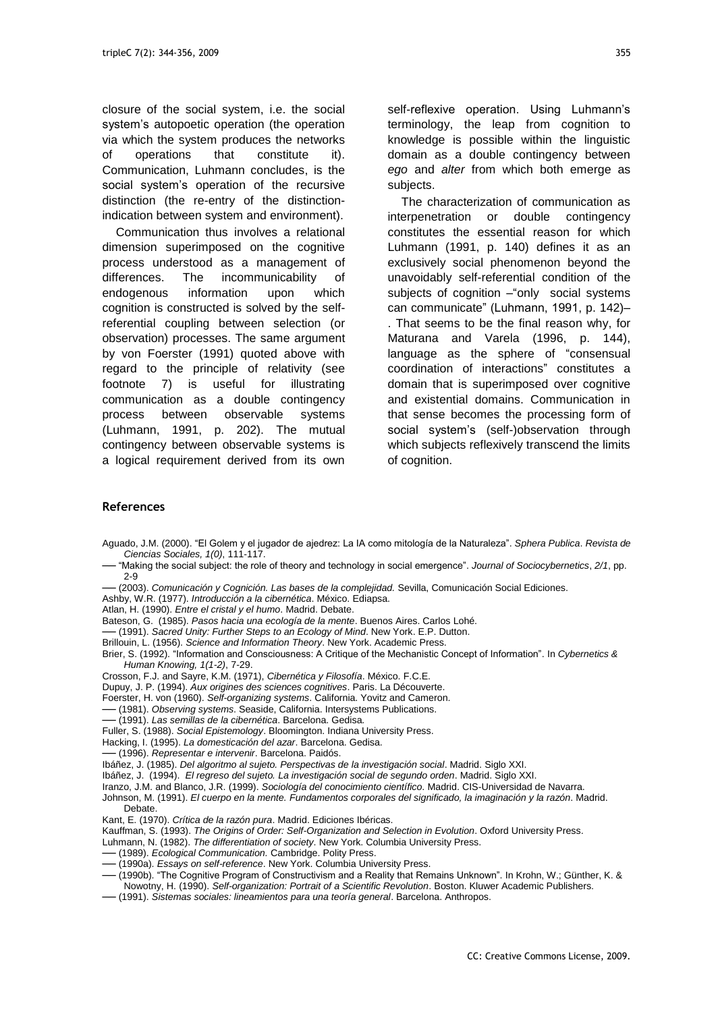closure of the social system, i.e. the social system"s autopoetic operation (the operation via which the system produces the networks of operations that constitute it). Communication, Luhmann concludes, is the social system"s operation of the recursive distinction (the re-entry of the distinctionindication between system and environment).

Communication thus involves a relational dimension superimposed on the cognitive process understood as a management of differences. The incommunicability of endogenous information upon which cognition is constructed is solved by the selfreferential coupling between selection (or observation) processes. The same argument by von Foerster (1991) quoted above with regard to the principle of relativity (see footnote 7) is useful for illustrating communication as a double contingency process between observable systems (Luhmann, 1991, p. 202). The mutual contingency between observable systems is a logical requirement derived from its own

self-reflexive operation. Using Luhmann's terminology, the leap from cognition to knowledge is possible within the linguistic domain as a double contingency between *ego* and *alter* from which both emerge as subjects.

The characterization of communication as interpenetration or double contingency constitutes the essential reason for which Luhmann (1991, p. 140) defines it as an exclusively social phenomenon beyond the unavoidably self-referential condition of the subjects of cognition – "only social systems" can communicate" (Luhmann, 1991, p. 142)– . That seems to be the final reason why, for Maturana and Varela (1996, p. 144), language as the sphere of "consensual coordination of interactions" constitutes a domain that is superimposed over cognitive and existential domains. Communication in that sense becomes the processing form of social system's (self-)observation through which subjects reflexively transcend the limits of cognition.

#### **References**

- Aguado, J.M. (2000). "El Golem y el jugador de ajedrez: La IA como mitología de la Naturaleza". *Sphera Publica*. *Revista de Ciencias Sociales, 1(0)*, 111-117.
- ── "Making the social subject: the role of theory and technology in social emergence". *Journal of Sociocybernetics*, *2/1*, pp. 2-9
- ── (2003). *Comunicación y Cognición. Las bases de la complejidad.* Sevilla, Comunicación Social Ediciones.
- Ashby, W.R. (1977). *Introducción a la cibernética*. México. Ediapsa.
- Atlan, H. (1990). *Entre el cristal y el humo*. Madrid. Debate.
- Bateson, G. (1985). *Pasos hacia una ecología de la mente*. Buenos Aires. Carlos Lohé.
- ── (1991). *Sacred Unity: Further Steps to an Ecology of Mind*. New York. E.P. Dutton.
- Brillouin, L. (1956). *Science and Information Theory*. New York. Academic Press.
- Brier, S. (1992). "Information and Consciousness: A Critique of the Mechanistic Concept of Information". In *Cybernetics & Human Knowing, 1(1-2)*, 7-29.
- Crosson, F.J. and Sayre, K.M. (1971), *Cibernética y Filosofía*. México. F.C.E.
- Dupuy, J. P. (1994). *Aux origines des sciences cognitives*. Paris. La Découverte.
- Foerster, H. von (1960). *Self-organizing systems*. California. Yovitz and Cameron.
- ── (1981). *Observing systems*. Seaside, California. Intersystems Publications.
- ── (1991). *Las semillas de la cibernética*. Barcelona. Gedisa.
- Fuller, S. (1988). *Social Epistemology*. Bloomington. Indiana University Press.
- Hacking, I. (1995). *La domesticación del azar*. Barcelona. Gedisa.
- ── (1996). *Representar e intervenir*. Barcelona. Paidós.
- Ibáñez, J. (1985). *Del algoritmo al sujeto. Perspectivas de la investigación social*. Madrid. Siglo XXI.
- Ibáñez, J. (1994). *El regreso del sujeto. La investigación social de segundo orden*. Madrid. Siglo XXI.
- Iranzo, J.M. and Blanco, J.R. (1999). *Sociología del conocimiento científico*. Madrid. CIS-Universidad de Navarra.
- Johnson, M. (1991). *El cuerpo en la mente. Fundamentos corporales del significado, la imaginación y la razón*. Madrid.
- Debate. Kant, E. (1970). *Crítica de la razón pura*. Madrid. Ediciones Ibéricas.
- Kauffman, S. (1993). *The Origins of Order: Self-Organization and Selection in Evolution*. Oxford University Press.
- Luhmann, N. (1982). *The differentiation of society*. New York. Columbia University Press.
- ── (1989). *Ecological Communication.* Cambridge. Polity Press.
- ── (1990a). *Essays on self-reference*. New York. Columbia University Press.
- ── (1990b). "The Cognitive Program of Constructivism and a Reality that Remains Unknown". In Krohn, W.; Günther, K. &
- Nowotny, H. (1990). *Self-organization: Portrait of a Scientific Revolution*. Boston. Kluwer Academic Publishers.
- ── (1991). *Sistemas sociales: lineamientos para una teoría general*. Barcelona. Anthropos.